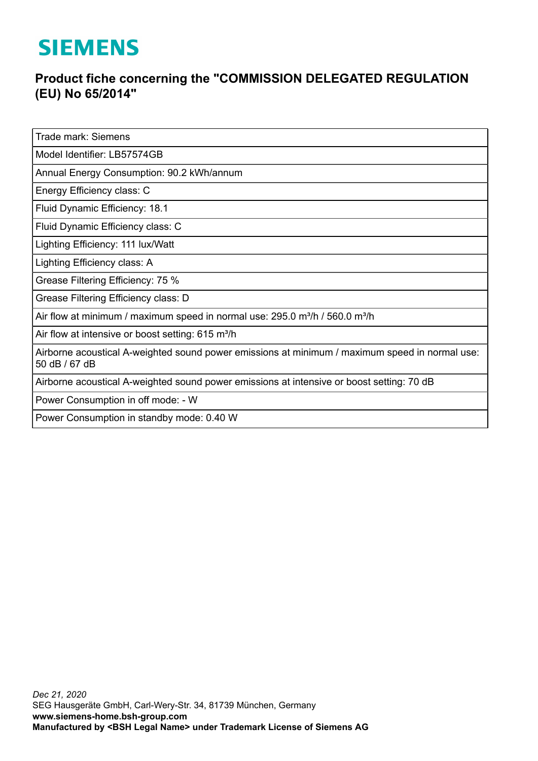## **SIEMENS**

## **Product fiche concerning the "COMMISSION DELEGATED REGULATION (EU) No 65/2014"**

Trade mark: Siemens

Model Identifier: LB57574GB

Annual Energy Consumption: 90.2 kWh/annum

Energy Efficiency class: C

Fluid Dynamic Efficiency: 18.1

Fluid Dynamic Efficiency class: C

Lighting Efficiency: 111 lux/Watt

Lighting Efficiency class: A

Grease Filtering Efficiency: 75 %

Grease Filtering Efficiency class: D

Air flow at minimum / maximum speed in normal use:  $295.0$  m<sup>3</sup>/h /  $560.0$  m<sup>3</sup>/h

Air flow at intensive or boost setting:  $615 \text{ m}^3/\text{h}$ 

Airborne acoustical A-weighted sound power emissions at minimum / maximum speed in normal use: 50 dB / 67 dB

Airborne acoustical A-weighted sound power emissions at intensive or boost setting: 70 dB

Power Consumption in off mode: - W

Power Consumption in standby mode: 0.40 W